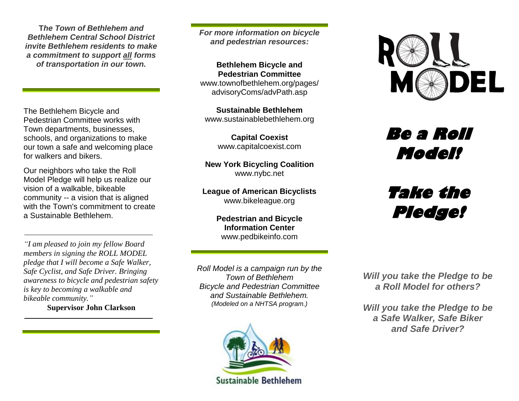**T***he Town of Bethlehem and Bethlehem Central School District invite Bethlehem residents to make a commitment to support all forms of transportation in our town.*

The Bethlehem Bicycle and Pedestrian Committee works with Town departments, businesses, schools, and organizations to make our town a safe and welcoming place for walkers and bikers.

Our neighbors who take the Roll Model Pledge will help us realize our vision of a walkable, bikeable community -- a vision that is aligned with the Town's commitment to create a Sustainable Bethlehem.

*"I am pleased to join my fellow Board members in signing the ROLL MODEL pledge that I will become a Safe Walker, Safe Cyclist, and Safe Driver. Bringing awareness to bicycle and pedestrian safety is key to becoming a walkable and bikeable community."* 

**Supervisor John Clarkson**

*For more information on bicycle and pedestrian resources:*

**Bethlehem Bicycle and Pedestrian Committee** [www.townofbethlehem.org/pages/](http://www.townofbethlehem.org/pages/) advisoryComs/advPath.asp

**Sustainable Bethlehem** [www.sustainablebethlehem.org](http://www.sustainablebethlehem.org/)

> **Capital Coexist** [www.capitalcoexist.com](http://www.capitalcoexist.com/)

#### **New York Bicycling Coalition** [www.nybc.net](http://www.nybc.net/)

**League of American Bicyclists** [www.bikeleague.org](http://www.bikeleague.org/)

> **Pedestrian and Bicycle Information Center** [www.pedbikeinfo.com](http://www.pedbikeinfo.com/)

*Roll Model is a campaign run by the Town of Bethlehem Bicycle and Pedestrian Committee and Sustainable Bethlehem. (Modeled on a NHTSA program.)*





**Be a Roll Model!** 

# **Take the Pledge!**

*Will you take the Pledge to be a Roll Model for others?*

*Will you take the Pledge to be a Safe Walker, Safe Biker and Safe Driver?*